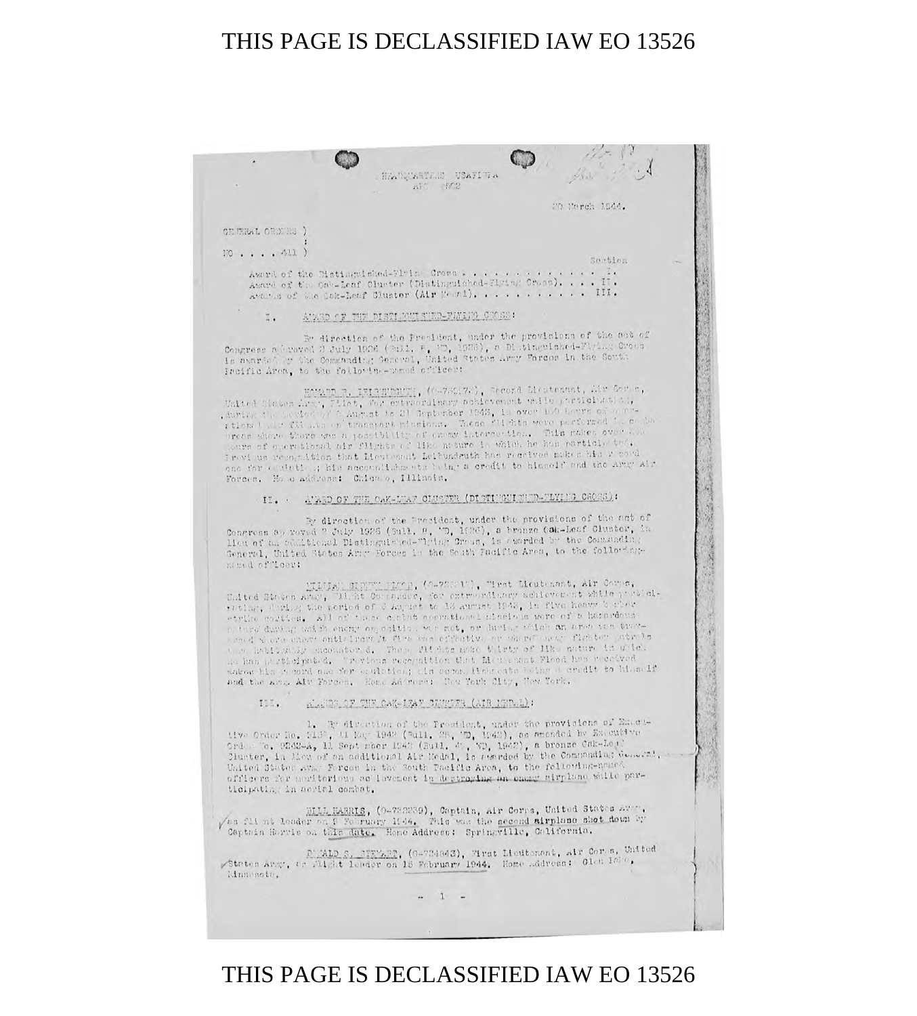HEADUARTEME USAFIE A  $\overline{AFC} = 502$ 

CEREL ORDERS )

 $170......111)$ 

Award of the Distinguished-Fluis Cross . . . . . . . . . Award of the One-Leaf Cluster (Distinguished-Flying Cross). . . . IT. Avance of the Cok-Leaf Cluster (Air Mean1). . . . . . . . . . . III.

ĭ.

By direction of the President, under the provisions of the act of Congress addressed 2 July 1926 (2011, F, W), 1928), a Distinguished-Flying Cross Is nuarded or the Commanding General, United States Army Forces in the South Pacific Area, to the followine-named officer:

Howard R. IEIRUNGUZE, (0-720172), Record Lieutenant, Mr Corne, United States Ling, Filet, for extraordinary ackievement while participation, during the participation of a August to 21 September 1943, in over 100 hours of our retional and files and transport missional. These filials we  $-00.30$ **The Second Second**  $11.11$ ours of oper tional air flights of like noture in which he has particly the. Freyl us recognition that Mentenant Leibundeuth has received makes his r cord t to himself and the Army Air

By direction of the Precident, under the provisions of the act of Congress approved ? July 1926 (3ull. 8, 'D, 1926), a bronze Oak-Leaf Cluster, in Heu of an eductional Distinguished-"lying Cross, is awarded by the Community; General, United States Army Forces in the South Facific Area, to the followingmomed of "loer:

EINIAN SIDER (2-22321), Tret Lieutenant, Air Corpo, United States Aber, Tibi Corporate , for extraordinary achievement while problems with the problems the period of 6 August to 13 august 1943, in five heavy burber etriko morties. All of these contrib secretional missions were of a hazardons enemy on estite, we met, or during witch an area ten tuev-Asset on a  $15 - 5$ 

IiI.

1. E direction of the President, under the provisions of Enettive Order He, 913°, 11 Mag 1942 (Bull, 28, 29, 1942), as amonded by Executive Order To, 9242-A, 11 Sept mber 1943 (Bull, 49, VD, 1942), a bronze Oak-Lett Cluster, in Mon of an additional Air Medal, is seended by the Commanding General, -United States Avay Forces in the South Pacific Area, to the following-noused officers for menitorieus ac'isvement in destroying an energy airplane while participating in sorial combat.

BILL HARRIS, (0-732239), Captain, Air Corps, United States Aver, yes flint leader on 9 February 1944. This was the second sirplane shot down by Captain Harris on this date. Home Address: Springville, California.

States Arg, Co Milght leader on 18 February 1944. Home Adress: Class 10170, Minnesote.

 $-1$